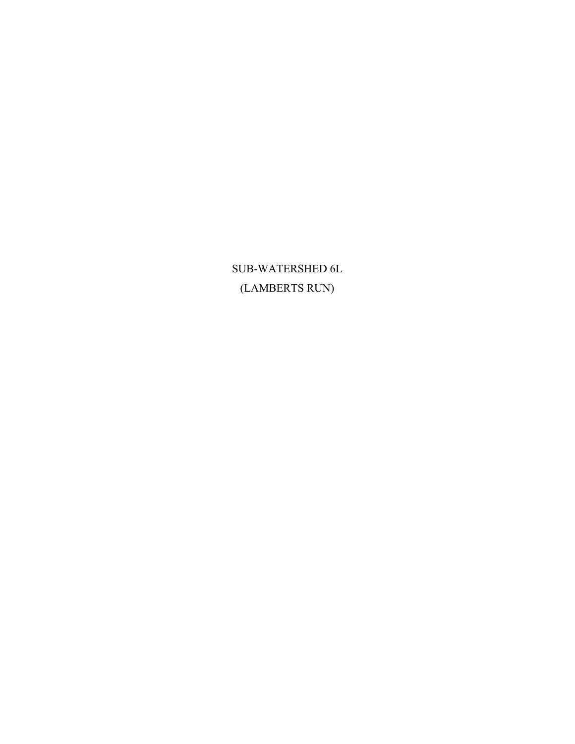${\bf SUB\text{-}WATERSHED}$ 6L (LAMBERTS RUN)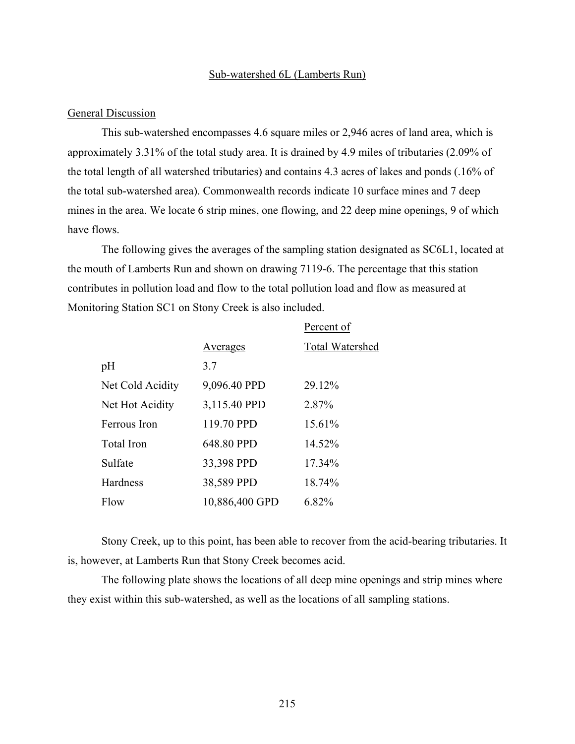#### Sub-watershed 6L (Lamberts Run)

#### General Discussion

This sub-watershed encompasses 4.6 square miles or 2,946 acres of land area, which is approximately 3.31% of the total study area. It is drained by 4.9 miles of tributaries (2.09% of the total length of all watershed tributaries) and contains 4.3 acres of lakes and ponds (.16% of the total sub-watershed area). Commonwealth records indicate 10 surface mines and 7 deep mines in the area. We locate 6 strip mines, one flowing, and 22 deep mine openings, 9 of which have flows.

The following gives the averages of the sampling station designated as SC6L1, located at the mouth of Lamberts Run and shown on drawing 7119-6. The percentage that this station contributes in pollution load and flow to the total pollution load and flow as measured at Monitoring Station SC1 on Stony Creek is also included.

Percent of

|                  |                | T ATAATI OT            |
|------------------|----------------|------------------------|
|                  | Averages       | <b>Total Watershed</b> |
| pH               | 3.7            |                        |
| Net Cold Acidity | 9,096.40 PPD   | 29.12%                 |
| Net Hot Acidity  | 3,115.40 PPD   | 2.87%                  |
| Ferrous Iron     | 119.70 PPD     | 15.61%                 |
| Total Iron       | 648.80 PPD     | 14.52%                 |
| Sulfate          | 33,398 PPD     | 17.34%                 |
| Hardness         | 38,589 PPD     | 18.74%                 |
| Flow             | 10,886,400 GPD | 6.82%                  |

Stony Creek, up to this point, has been able to recover from the acid-bearing tributaries. It is, however, at Lamberts Run that Stony Creek becomes acid.

The following plate shows the locations of all deep mine openings and strip mines where they exist within this sub-watershed, as well as the locations of all sampling stations.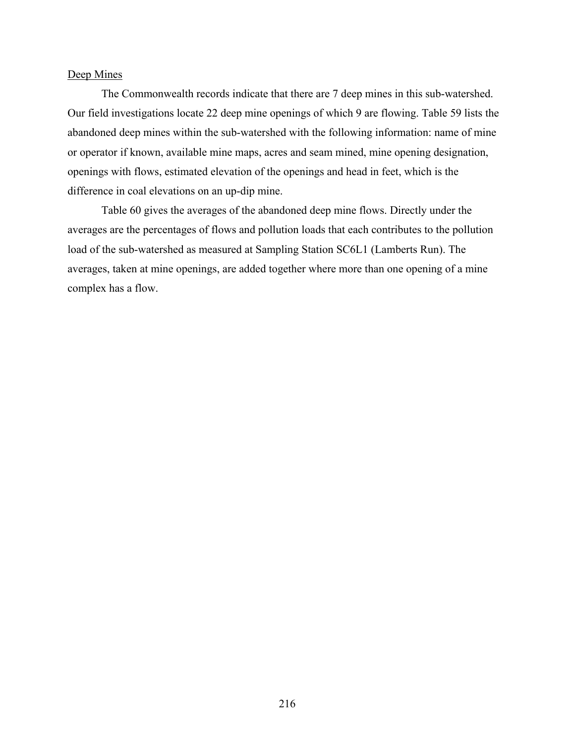#### Deep Mines

The Commonwealth records indicate that there are 7 deep mines in this sub-watershed. Our field investigations locate 22 deep mine openings of which 9 are flowing. Table 59 lists the abandoned deep mines within the sub-watershed with the following information: name of mine or operator if known, available mine maps, acres and seam mined, mine opening designation, openings with flows, estimated elevation of the openings and head in feet, which is the difference in coal elevations on an up-dip mine.

Table 60 gives the averages of the abandoned deep mine flows. Directly under the averages are the percentages of flows and pollution loads that each contributes to the pollution load of the sub-watershed as measured at Sampling Station SC6L1 (Lamberts Run). The averages, taken at mine openings, are added together where more than one opening of a mine complex has a flow.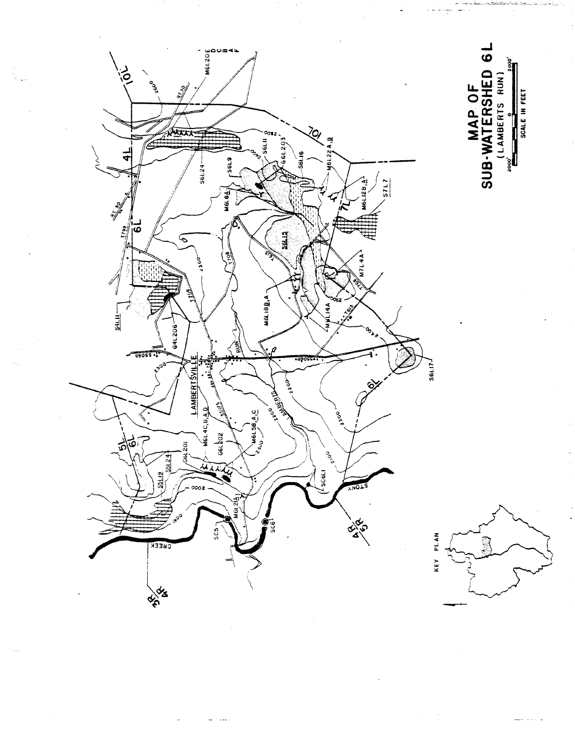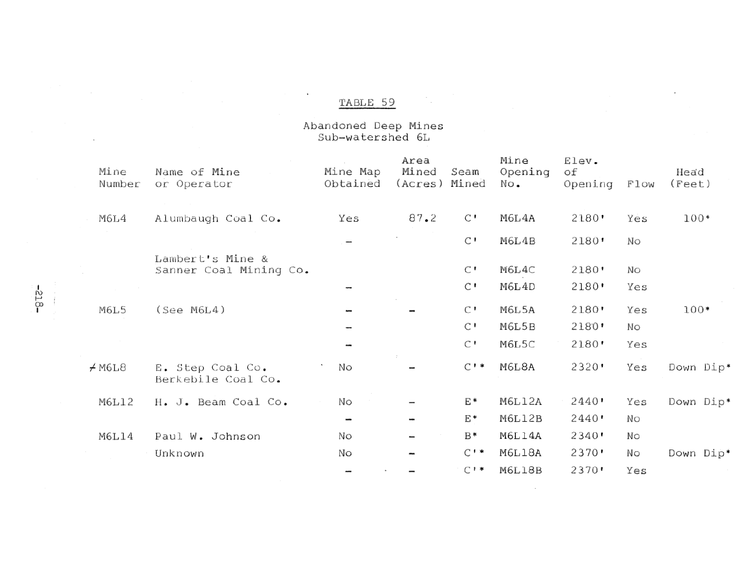$\cdot$ 

# Abandoned Deep Mines<br>Sub-watershed 6L

| Mine<br>Number | Name of Mine<br>or Operator                | Mine Map<br>Obtained | Area<br>Mined<br>(Acres) | Seam<br>Mined                    | Mine<br>Opening<br>No. | Elev.<br>оf<br>Opening | Flow      | Head<br>(Fect) |
|----------------|--------------------------------------------|----------------------|--------------------------|----------------------------------|------------------------|------------------------|-----------|----------------|
| M6L4           | Alumbaugh Coal Co.                         | Yes                  | 87.2                     | $\mathsf{C}$ .                   | M6L4A                  | 2180'                  | Yes       | 100*           |
|                |                                            |                      |                          | $\mathsf{C}$ '                   | M6L4B                  | 2180'                  | No        |                |
|                | Lambert's Mine &<br>Sanner Coal Mining Co. |                      |                          | $\mathsf{C}$ .<br>$\mathsf{C}$ ' | M6L4C<br>M6L4D         | 2180'<br>2180'         | No<br>Yes |                |
| M6L5           | (See M6L4)                                 |                      |                          | $\mathsf{C}$ '<br>$\mathsf{C}$ ' | M6L5A<br>M6L5B         | 2180'<br>2180'         | Yes<br>No | 100*           |
|                |                                            |                      |                          | $\mathsf{C}$ !                   | M6L5C                  | 2180'                  | Yes       |                |
| ≠м6г8          | E. Step Coal Co.<br>Berkebile Coal Co.     | No                   |                          | $C$ $\cdot$ $\cdot$              | M6L8A                  | 2320                   | Yes       | Down Dip*      |
| M6L12          | H. J. Beam Coal Co.                        | No                   |                          | E*                               | <b>M6L12A</b>          | 2440'                  | Yes       | Down Dip*      |
|                |                                            |                      | $\overline{\phantom{a}}$ | E*                               | M6L12B                 | 2440'                  | Νo        |                |
| M6L14          | Paul W. Johnson                            | No                   | -                        | $B*$                             | M6L14A                 | 2340'                  | Νo        |                |
|                | Unknown                                    | Nο                   |                          | $C$ $\cdot$ $\cdot$              | M6L18A                 | 2370                   | No        | Down Dip*      |
|                |                                            |                      |                          | $C$ $\cdot$ $\cdot$              | M6L18B                 | 2370                   | Yes       |                |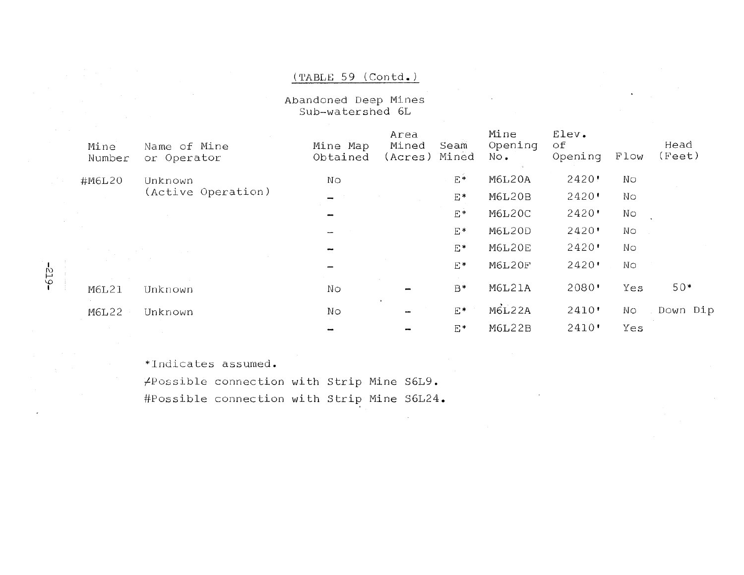#### (TABLE 59 (Contd.)

Abandoned Deep Mines Sub-watershed 6L

|  | Mine<br>Number | Name of Mine<br>or Operator | Mine Map<br>Obtained | Area<br>Mined<br>Seam<br>Mined<br>(Acres) | Mine<br>Opening<br>No. | Elev.<br>οf<br>Opening | Flow | Head<br>(Fect) |
|--|----------------|-----------------------------|----------------------|-------------------------------------------|------------------------|------------------------|------|----------------|
|  | #M6L20         | Unknown                     | No                   | $E*$                                      | M6L20A                 | 2420'                  | Νo   |                |
|  |                | (Active Operation)          |                      | E*                                        | <b>M6L20B</b>          | 2420                   | No   |                |
|  |                |                             |                      | E*                                        | M6L20C                 | 2420                   | Nο   |                |
|  |                |                             |                      | E*                                        | M6L20D                 | 2420'                  | No   |                |
|  |                |                             |                      | E*                                        | <b>M6L20E</b>          | 2420'                  | No   |                |
|  |                |                             |                      | E*                                        | M6L20F                 | $2420$ '               | No   |                |
|  | <b>M6L21</b>   | Unknown                     | No                   | B*                                        | <b>M6L21A</b>          | 2080'                  | Yes  | 50*            |
|  | M6L22          | Unknown                     | Nо                   | $\cdot$<br>E*                             | <b>M6L22A</b>          | 2410'                  | No   | Down Dip       |
|  |                |                             |                      | E*                                        | M6L22B                 | 2410'                  | Yes  |                |
|  |                |                             |                      |                                           |                        |                        |      |                |

\*Indicates assumed.

 $-613-$ 

/Possible connection with Strip Mine S6L9. #Possible connection with Strip Mine S6L24.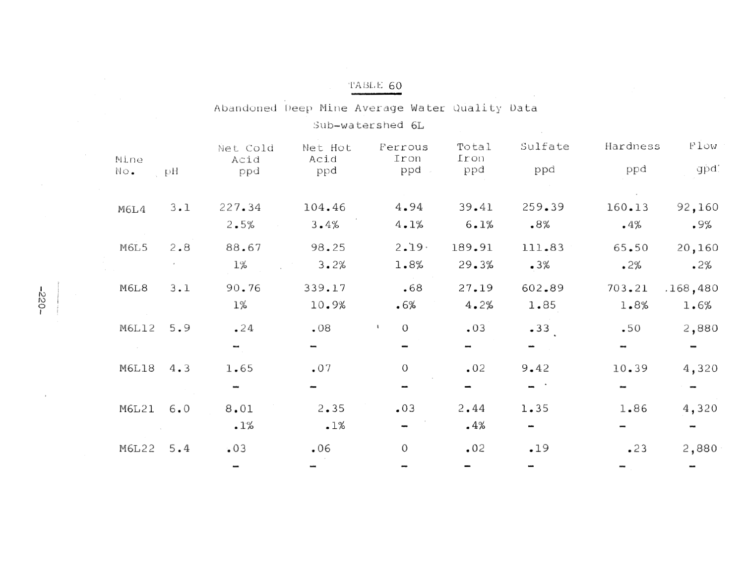Abandoned Deep Mine Average Water Quality Data

Sub-watershed 6L

| Mine<br>No. | рH      | Net Cold<br>Acid<br>ppd | Net Hot<br>Acid<br>ppd | Ferrous<br>Iron<br>ppd | Total<br>Iron<br>ppd | Sulfate<br>ppd | Hardness<br>ppd | Flow<br>gpd.     |
|-------------|---------|-------------------------|------------------------|------------------------|----------------------|----------------|-----------------|------------------|
| M6L4        | 3.1     | 227.34<br>2.5%          | 104.46<br>3.4%         | 4.94<br>4.1%           | 39.41<br>6.1%        | 259.39<br>.8%  | 160.13<br>$-4%$ | 92,160<br>.9%    |
| M6L5        | $2 - 8$ | 88.67<br>1%             | 98.25<br>3.2%          | 2.19.<br>1.8%          | 189.91<br>29.3%      | 111.83<br>.3%  | 65.50<br>.2%    | 20,160<br>.2%    |
| M6L8        | $3 - 1$ | 90.76<br>1%             | 339.17<br>10.9%        | .68<br>.6%             | 27.19<br>4.2%        | 602.89<br>1.85 | 703.21<br>1.8%  | .168,480<br>1.6% |
| M6L12       | 5.9     | 24                      | .08                    | $\mathcal{O}$          | .03                  | .33            | $-50$           | 2,880            |
| M6L18       | 4.3     | 1.65                    | .07                    | $\mathcal{O}$          | .02                  | 9.42           | 10.39           | 4,320            |
| M6L21       | 6.0     | 8.01<br>.1%             | 2.35<br>.1%            | .03                    | 2.44<br>$-4%$        | 1.35           | 1.86            | 4,320            |
| M6L22       | 5.4     | .03                     | .06                    | $\boldsymbol{0}$       | .02                  | .19            | .23             | 2,880            |

 $\sim$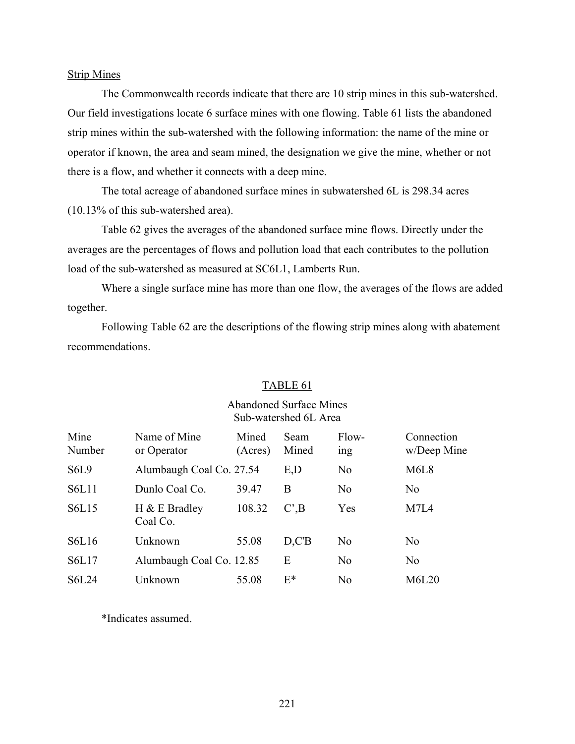#### Strip Mines

The Commonwealth records indicate that there are 10 strip mines in this sub-watershed. Our field investigations locate 6 surface mines with one flowing. Table 61 lists the abandoned strip mines within the sub-watershed with the following information: the name of the mine or operator if known, the area and seam mined, the designation we give the mine, whether or not there is a flow, and whether it connects with a deep mine.

The total acreage of abandoned surface mines in subwatershed 6L is 298.34 acres (10.13% of this sub-watershed area).

Table 62 gives the averages of the abandoned surface mine flows. Directly under the averages are the percentages of flows and pollution load that each contributes to the pollution load of the sub-watershed as measured at SC6L1, Lamberts Run.

Where a single surface mine has more than one flow, the averages of the flows are added together.

Following Table 62 are the descriptions of the flowing strip mines along with abatement recommendations.

#### TABLE 61

#### Abandoned Surface Mines Sub-watershed 6L Area

| Mine<br>Number                | Name of Mine<br>or Operator  | Mined<br>(Acres) | Seam<br>Mined                 | Flow-<br>1ng   | Connection<br>w/Deep Mine     |
|-------------------------------|------------------------------|------------------|-------------------------------|----------------|-------------------------------|
| S <sub>6</sub> L <sub>9</sub> | Alumbaugh Coal Co. 27.54     |                  | E,D                           | N <sub>0</sub> | M <sub>6</sub> L <sub>8</sub> |
| S6L11                         | Dunlo Coal Co.               | 39.47            | B                             | N <sub>0</sub> | N <sub>0</sub>                |
| S6L15                         | $H \& E$ Bradley<br>Coal Co. | 108.32           | $C^{\prime}$ <sub>,</sub> $B$ | Yes            | M7L4                          |
| <b>S6L16</b>                  | Unknown                      | 55.08            | D.C'B                         | N <sub>0</sub> | N <sub>0</sub>                |
| S6L17                         | Alumbaugh Coal Co. 12.85     |                  | E                             | N <sub>0</sub> | N <sub>0</sub>                |
| <b>S6L24</b>                  | Unknown                      | 55.08            | $E^*$                         | N <sub>0</sub> | M6L20                         |

\*Indicates assumed.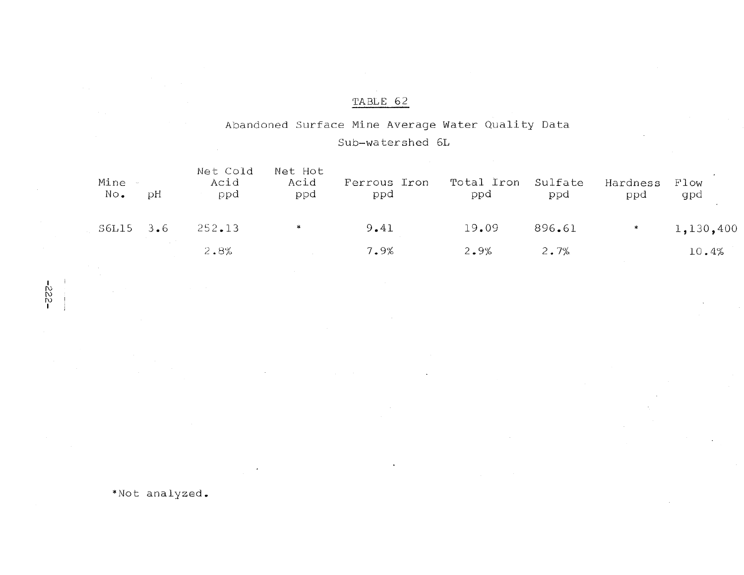### Abandoned Surface Mine Average Water Quality Data Sub-watershed 6L

| Mine<br>No. | рH  | Net Cold<br>Acid<br>ppd | Net Hot<br>Acid<br>ppd | Ferrous Iron<br>ppd | Total Iron<br>ppd | Sulfate<br>ppd | Hardness<br>ppd | Flow<br>gpd |
|-------------|-----|-------------------------|------------------------|---------------------|-------------------|----------------|-----------------|-------------|
| S6L15       | 3.6 | 252.13                  |                        | 9.41                | 19.09             | 896.61         | $*$             | 1,130,400   |
|             |     | 2.8%                    |                        | 7.9%                | 2.9%              | 2.7%           |                 | 10.4%       |

 $-322$ -

 $\cdot$ i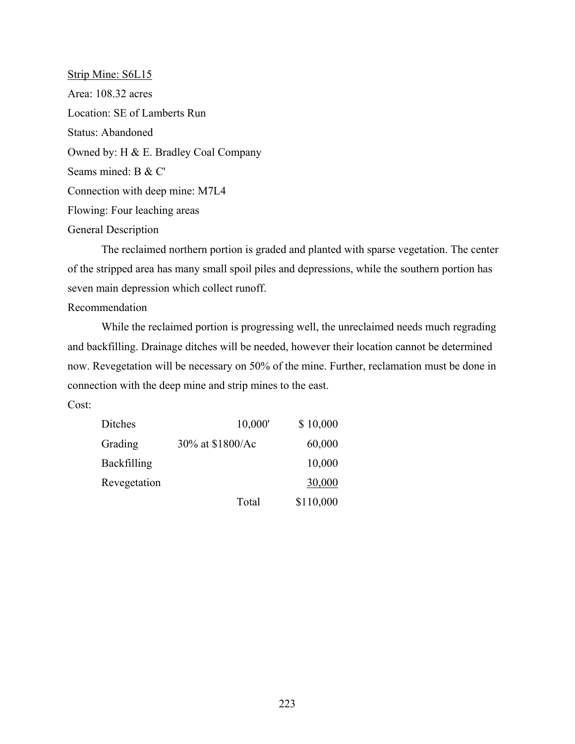Strip Mine: S6L15 Area: 108.32 acres Location: SE of Lamberts Run Status: Abandoned Owned by: H & E. Bradley Coal Company Seams mined: B & C' Connection with deep mine: M7L4 Flowing: Four leaching areas General Description

The reclaimed northern portion is graded and planted with sparse vegetation. The center of the stripped area has many small spoil piles and depressions, while the southern portion has seven main depression which collect runoff.

#### Recommendation

While the reclaimed portion is progressing well, the unreclaimed needs much regrading and backfilling. Drainage ditches will be needed, however their location cannot be determined now. Revegetation will be necessary on 50% of the mine. Further, reclamation must be done in connection with the deep mine and strip mines to the east.

Cost:

| Ditches      | 10,000'          | \$10,000  |
|--------------|------------------|-----------|
| Grading      | 30% at \$1800/Ac | 60,000    |
| Backfilling  |                  | 10,000    |
| Revegetation |                  | 30,000    |
|              | Total            | \$110,000 |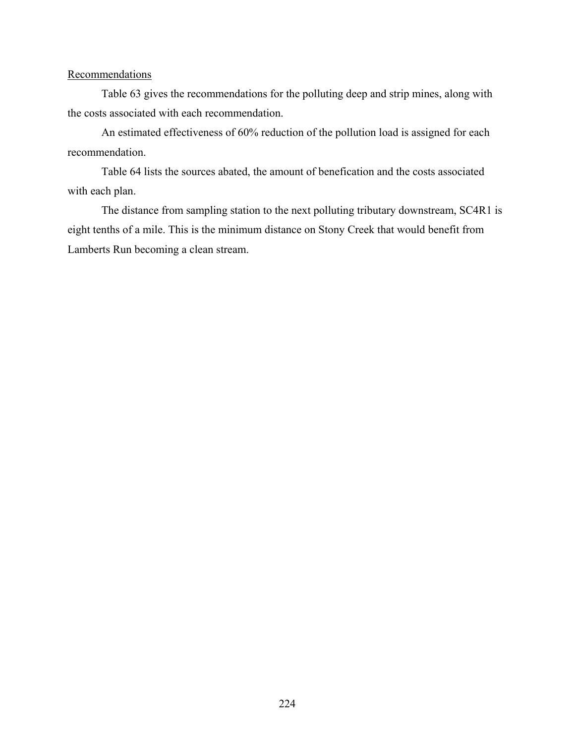#### **Recommendations**

Table 63 gives the recommendations for the polluting deep and strip mines, along with the costs associated with each recommendation.

An estimated effectiveness of 60% reduction of the pollution load is assigned for each recommendation.

Table 64 lists the sources abated, the amount of benefication and the costs associated with each plan.

The distance from sampling station to the next polluting tributary downstream, SC4R1 is eight tenths of a mile. This is the minimum distance on Stony Creek that would benefit from Lamberts Run becoming a clean stream.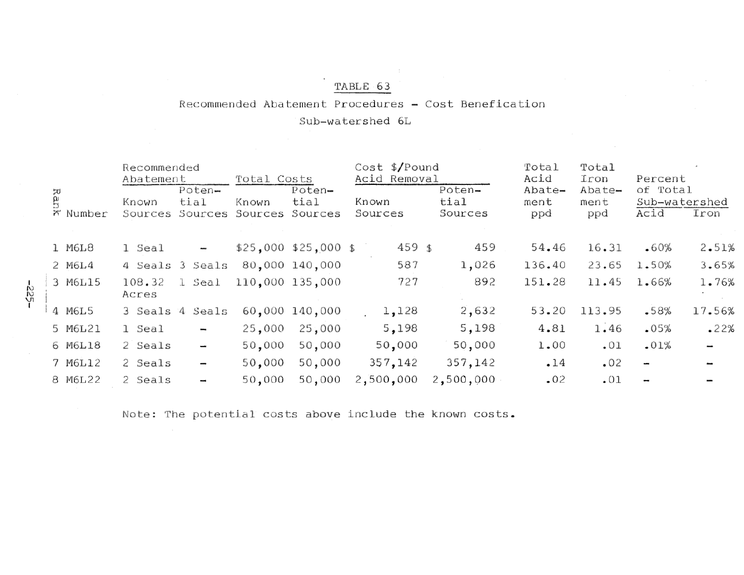#### Recommended Abatement Procedures - Cost Benefication

Sub-watershed 6L

|                 |                          |                                                                  |                            |                                                                                         |                        | Total                                               | Total                 |                       |                       |
|-----------------|--------------------------|------------------------------------------------------------------|----------------------------|-----------------------------------------------------------------------------------------|------------------------|-----------------------------------------------------|-----------------------|-----------------------|-----------------------|
|                 |                          |                                                                  |                            |                                                                                         |                        |                                                     |                       |                       |                       |
| Known           | tial                     | Known                                                            | tial<br>Sources            | Known<br>Sources                                                                        | tial<br>Sources        | ment                                                | ment                  | Acid                  | Sub-watershed<br>Iron |
|                 |                          |                                                                  |                            |                                                                                         |                        |                                                     |                       |                       |                       |
| 1 Seal          | $\overline{\phantom{a}}$ |                                                                  |                            |                                                                                         | 459                    | 54.46                                               | 16.31                 | .60%                  | 2.51%                 |
|                 |                          |                                                                  |                            | 587                                                                                     | 1,026                  | 136.40                                              | 23.65                 | 1.50%                 | 3.65%                 |
| 108.32<br>Acres | 1 Seal                   |                                                                  |                            | 727                                                                                     | 892                    | 151.28                                              | 11.45                 | 1.66%                 | 1.76%                 |
|                 |                          |                                                                  |                            | 1,128                                                                                   | 2,632                  | 53.20                                               | 113.95                | $-58%$                | 17.56%                |
| 1 Seal          | $\overline{\phantom{a}}$ | 25,000                                                           | 25,000                     | 5,198                                                                                   | 5,198                  | 4.81                                                | 1.46                  | .05%                  | .22%                  |
| 2 Seals         | $\overline{\phantom{a}}$ | 50,000                                                           | 50,000                     | 50,000                                                                                  | 50,000                 | 1.00                                                | .01                   | .01%                  |                       |
| 2 Seals         | -                        | 50,000                                                           | 50,000                     | 357,142                                                                                 | 357,142                | .14                                                 | .02                   | -                     |                       |
| 2 Seals         | $\overline{\phantom{a}}$ | 50,000                                                           | 50,000                     | 2,500,000                                                                               | 2,500,000              | .02                                                 | .01                   |                       |                       |
|                 |                          | Recommended<br>Abatement<br>Poten-<br>Sources<br>3 Seals 4 Seals | Sources<br>4 Seals 3 Seals | Total Costs<br>Poten-<br>Sources<br>80,000 140,000<br>110,000 135,000<br>60,000 140,000 | $$25,000$ $$25,000$ \$ | $Cost$ \$/Pound<br>Acid Removal<br>Poten-<br>459 \$ | Acid<br>Abate-<br>ppd | Iron<br>Abate-<br>ppd | Percent<br>of Total   |

Note: The potential costs above include the known costs.

 $\sim$